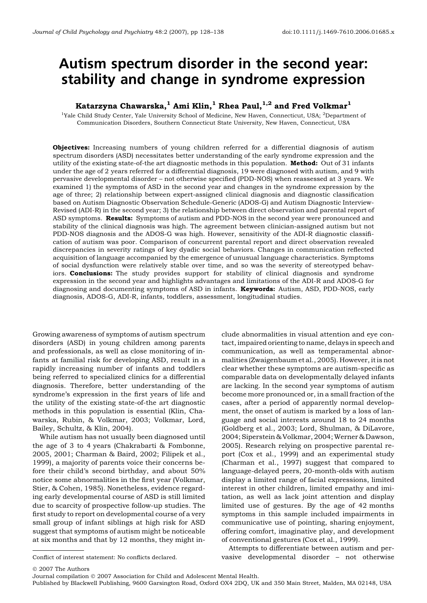# Autism spectrum disorder in the second year: stability and change in syndrome expression

# Katarzyna Chawarska,<sup>1</sup> Ami Klin,<sup>1</sup> Rhea Paul,<sup>1,2</sup> and Fred Volkmar<sup>1</sup>

<sup>1</sup>Yale Child Study Center, Yale University School of Medicine, New Haven, Connecticut, USA; <sup>2</sup>Department of Communication Disorders, Southern Connecticut State University, New Haven, Connecticut, USA

Objectives: Increasing numbers of young children referred for a differential diagnosis of autism spectrum disorders (ASD) necessitates better understanding of the early syndrome expression and the utility of the existing state-of-the art diagnostic methods in this population. Method: Out of 31 infants under the age of 2 years referred for a differential diagnosis, 19 were diagnosed with autism, and 9 with pervasive developmental disorder – not otherwise specified (PDD-NOS) when reassessed at 3 years. We examined 1) the symptoms of ASD in the second year and changes in the syndrome expression by the age of three; 2) relationship between expert-assigned clinical diagnosis and diagnostic classification based on Autism Diagnostic Observation Schedule-Generic (ADOS-G) and Autism Diagnostic Interview-Revised (ADI-R) in the second year; 3) the relationship between direct observation and parental report of ASD symptoms. Results: Symptoms of autism and PDD-NOS in the second year were pronounced and stability of the clinical diagnosis was high. The agreement between clinician-assigned autism but not PDD-NOS diagnosis and the ADOS-G was high. However, sensitivity of the ADI-R diagnostic classification of autism was poor. Comparison of concurrent parental report and direct observation revealed discrepancies in severity ratings of key dyadic social behaviors. Changes in communication reflected acquisition of language accompanied by the emergence of unusual language characteristics. Symptoms of social dysfunction were relatively stable over time, and so was the severity of stereotyped behaviors. **Conclusions:** The study provides support for stability of clinical diagnosis and syndrome expression in the second year and highlights advantages and limitations of the ADI-R and ADOS-G for diagnosing and documenting symptoms of ASD in infants. **Keywords:** Autism, ASD, PDD-NOS, early diagnosis, ADOS-G, ADI-R, infants, toddlers, assessment, longitudinal studies.

Growing awareness of symptoms of autism spectrum disorders (ASD) in young children among parents and professionals, as well as close monitoring of infants at familial risk for developing ASD, result in a rapidly increasing number of infants and toddlers being referred to specialized clinics for a differential diagnosis. Therefore, better understanding of the syndrome's expression in the first years of life and the utility of the existing state-of-the art diagnostic methods in this population is essential (Klin, Chawarska, Rubin, & Volkmar, 2003; Volkmar, Lord, Bailey, Schultz, & Klin, 2004).

While autism has not usually been diagnosed until the age of 3 to 4 years (Chakrabarti & Fombonne, 2005, 2001; Charman & Baird, 2002; Filipek et al., 1999), a majority of parents voice their concerns before their child's second birthday, and about 50% notice some abnormalities in the first year (Volkmar, Stier, & Cohen, 1985). Nonetheless, evidence regarding early developmental course of ASD is still limited due to scarcity of prospective follow-up studies. The first study to report on developmental course of a very small group of infant siblings at high risk for ASD suggest that symptoms of autism might be noticeable at six months and that by 12 months, they might include abnormalities in visual attention and eye contact, impaired orienting to name, delays in speech and communication, as well as temperamental abnormalities (Zwaigenbaum et al., 2005). However, it is not clear whether these symptoms are autism-specific as comparable data on developmentally delayed infants are lacking. In the second year symptoms of autism become more pronounced or, in a small fraction of the cases, after a period of apparently normal development, the onset of autism is marked by a loss of language and social interests around 18 to 24 months (Goldberg et al., 2003; Lord, Shulman, & DiLavore, 2004; Siperstein & Volkmar, 2004; Werner & Dawson, 2005). Research relying on prospective parental report (Cox et al., 1999) and an experimental study (Charman et al., 1997) suggest that compared to language-delayed peers, 20-month-olds with autism display a limited range of facial expressions, limited interest in other children, limited empathy and imitation, as well as lack joint attention and display limited use of gestures. By the age of 42 months symptoms in this sample included impairments in communicative use of pointing, sharing enjoyment, offering comfort, imaginative play, and development of conventional gestures (Cox et al., 1999).

Attempts to differentiate between autism and per-Conflict of interest statement: No conflicts declared. vasive developmental disorder – not otherwise

<sup>© 2007</sup> The Authors

Journal compilation © 2007 Association for Child and Adolescent Mental Health.

Published by Blackwell Publishing, 9600 Garsington Road, Oxford OX4 2DQ, UK and 350 Main Street, Malden, MA 02148, USA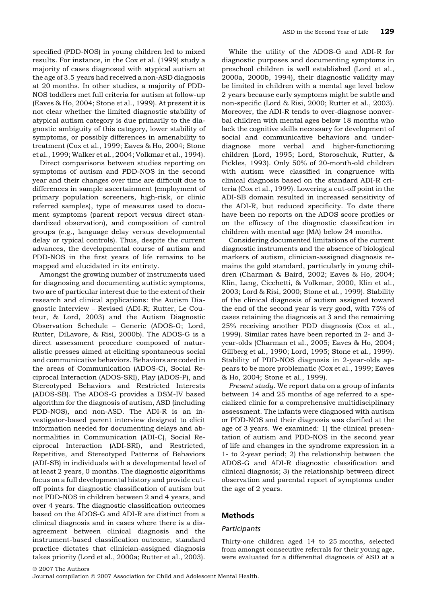While the utility of the ADOS-G and ADI-R for

specified (PDD-NOS) in young children led to mixed results. For instance, in the Cox et al. (1999) study a majority of cases diagnosed with atypical autism at the age of 3.5 years had received a non-ASD diagnosis at 20 months. In other studies, a majority of PDD-NOS toddlers met full criteria for autism at follow-up (Eaves & Ho, 2004; Stone et al., 1999). At present it is not clear whether the limited diagnostic stability of atypical autism category is due primarily to the diagnostic ambiguity of this category, lower stability of symptoms, or possibly differences in amenability to treatment (Cox et al., 1999; Eaves & Ho, 2004; Stone et al., 1999; Walker et al., 2004; Volkmar et al., 1994).

Direct comparisons between studies reporting on symptoms of autism and PDD-NOS in the second year and their changes over time are difficult due to differences in sample ascertainment (employment of primary population screeners, high-risk, or clinic referred samples), type of measures used to document symptoms (parent report versus direct standardized observation), and composition of control groups (e.g., language delay versus developmental delay or typical controls). Thus, despite the current advances, the developmental course of autism and PDD-NOS in the first years of life remains to be mapped and elucidated in its entirety.

Amongst the growing number of instruments used for diagnosing and documenting autistic symptoms, two are of particular interest due to the extent of their research and clinical applications: the Autism Diagnostic Interview – Revised (ADI-R; Rutter, Le Couteur, & Lord, 2003) and the Autism Diagnostic Observation Schedule – Generic (ADOS-G; Lord, Rutter, DiLavore, & Risi, 2000b). The ADOS-G is a direct assessment procedure composed of naturalistic presses aimed at eliciting spontaneous social and communicative behaviors. Behaviors are coded in the areas of Communication (ADOS-C), Social Reciprocal Interaction (ADOS-SRI), Play (ADOS-P), and Stereotyped Behaviors and Restricted Interests (ADOS-SB). The ADOS-G provides a DSM-IV based algorithm for the diagnosis of autism, ASD (including PDD-NOS), and non-ASD. The ADI-R is an investigator-based parent interview designed to elicit information needed for documenting delays and abnormalities in Communication (ADI-C), Social Reciprocal Interaction (ADI-SRI), and Restricted, Repetitive, and Stereotyped Patterns of Behaviors (ADI-SB) in individuals with a developmental level of at least 2 years, 0 months. The diagnostic algorithms focus on a full developmental history and provide cutoff points for diagnostic classification of autism but not PDD-NOS in children between 2 and 4 years, and over 4 years. The diagnostic classification outcomes based on the ADOS-G and ADI-R are distinct from a clinical diagnosis and in cases where there is a disagreement between clinical diagnosis and the instrument-based classification outcome, standard practice dictates that clinician-assigned diagnosis takes priority (Lord et al., 2000a; Rutter et al., 2003).

diagnostic purposes and documenting symptoms in preschool children is well established (Lord et al., 2000a, 2000b, 1994), their diagnostic validity may be limited in children with a mental age level below 2 years because early symptoms might be subtle and non-specific (Lord & Risi, 2000; Rutter et al., 2003). Moreover, the ADI-R tends to over-diagnose nonverbal children with mental ages below 18 months who lack the cognitive skills necessary for development of social and communicative behaviors and underdiagnose more verbal and higher-functioning children (Lord, 1995; Lord, Storoschuk, Rutter, & Pickles, 1993). Only 50% of 20-month-old children with autism were classified in congruence with clinical diagnosis based on the standard ADI-R criteria (Cox et al., 1999). Lowering a cut-off point in the ADI-SB domain resulted in increased sensitivity of the ADI-R, but reduced specificity. To date there have been no reports on the ADOS score profiles or on the efficacy of the diagnostic classification in children with mental age (MA) below 24 months. Considering documented limitations of the current

diagnostic instruments and the absence of biological markers of autism, clinician-assigned diagnosis remains the gold standard, particularly in young children (Charman & Baird, 2002; Eaves & Ho, 2004; Klin, Lang, Cicchetti, & Volkmar, 2000, Klin et al., 2003; Lord & Risi, 2000; Stone et al., 1999). Stability of the clinical diagnosis of autism assigned toward the end of the second year is very good, with 75% of cases retaining the diagnosis at 3 and the remaining 25% receiving another PDD diagnosis (Cox et al., 1999). Similar rates have been reported in 2- and 3 year-olds (Charman et al., 2005; Eaves & Ho, 2004; Gillberg et al., 1990; Lord, 1995; Stone et al., 1999). Stability of PDD-NOS diagnosis in 2-year-olds appears to be more problematic (Cox et al., 1999; Eaves & Ho, 2004; Stone et al., 1999).

Present study. We report data on a group of infants between 14 and 25 months of age referred to a specialized clinic for a comprehensive multidisciplinary assessment. The infants were diagnosed with autism or PDD-NOS and their diagnosis was clarified at the age of 3 years. We examined: 1) the clinical presentation of autism and PDD-NOS in the second year of life and changes in the syndrome expression in a 1- to 2-year period; 2) the relationship between the ADOS-G and ADI-R diagnostic classification and clinical diagnosis; 3) the relationship between direct observation and parental report of symptoms under the age of 2 years.

#### Methods

#### **Participants**

Thirty-one children aged 14 to 25 months, selected from amongst consecutive referrals for their young age, were evaluated for a differential diagnosis of ASD at a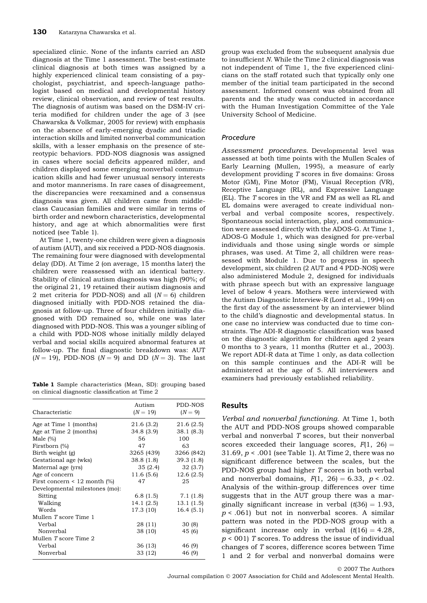specialized clinic. None of the infants carried an ASD diagnosis at the Time 1 assessment. The best-estimate clinical diagnosis at both times was assigned by a highly experienced clinical team consisting of a psychologist, psychiatrist, and speech-language pathologist based on medical and developmental history review, clinical observation, and review of test results. The diagnosis of autism was based on the DSM-IV criteria modified for children under the age of 3 (see Chawarska & Volkmar, 2005 for review) with emphasis on the absence of early-emerging dyadic and triadic interaction skills and limited nonverbal communication skills, with a lesser emphasis on the presence of stereotypic behaviors. PDD-NOS diagnosis was assigned in cases where social deficits appeared milder, and children displayed some emerging nonverbal communication skills and had fewer unusual sensory interests and motor mannerisms. In rare cases of disagreement, the discrepancies were reexamined and a consensus diagnosis was given. All children came from middleclass Caucasian families and were similar in terms of birth order and newborn characteristics, developmental history, and age at which abnormalities were first noticed (see Table 1).

At Time 1, twenty-one children were given a diagnosis of autism (AUT), and six received a PDD-NOS diagnosis. The remaining four were diagnosed with developmental delay (DD). At Time 2 (on average, 15 months later) the children were reassessed with an identical battery. Stability of clinical autism diagnosis was high (90%; of the original 21, 19 retained their autism diagnosis and 2 met criteria for PDD-NOS) and all  $(N = 6)$  children diagnosed initially with PDD-NOS retained the diagnosis at follow-up. Three of four children initially diagnosed with DD remained so, while one was later diagnosed with PDD-NOS. This was a younger sibling of a child with PDD-NOS whose initially mildly delayed verbal and social skills acquired abnormal features at follow-up. The final diagnostic breakdown was: AUT  $(N = 19)$ , PDD-NOS  $(N = 9)$  and DD  $(N = 3)$ . The last

Table 1 Sample characteristics (Mean, SD): grouping based on clinical diagnostic classification at Time 2

| Characteristic                           | Autism<br>$(N = 19)$ | PDD-NOS<br>$(N = 9)$ |
|------------------------------------------|----------------------|----------------------|
| Age at Time 1 (months)                   | 21.6 (3.2)           | 21.6 (2.5)           |
| Age at Time 2 (months)                   | 34.8(3.9)            | 38.1(8.3)            |
| Male $(\% )$                             | 56                   | 100                  |
| Firstborn (%)                            | 47                   | 63                   |
| Birth weight (g)                         | 3265 (439)           | 3266 (842)           |
| Gestational age (wks)                    | 38.8(1.8)            | 39.3(1.8)            |
| Maternal age (yrs)                       | 35(2.4)              | 32(3.7)              |
| Age of concern                           | 11.6(5.6)            | 12.6(2.5)            |
| First concern < $12$ month $\frac{1}{2}$ | 47                   | 25                   |
| Developmental milestones (mo):           |                      |                      |
| Sitting                                  | 6.8(1.5)             | 7.1(1.8)             |
| Walking                                  | 14.1 (2.5)           | 13.1(1.5)            |
| Words                                    | 17.3 (10)            | 16.4(5.1)            |
| Mullen $T$ score Time 1                  |                      |                      |
| Verbal                                   | 28 (11)              | 30 (8)               |
| Nonverbal                                | 38 (10)              | 45 (6)               |
| Mullen T score Time 2                    |                      |                      |
| Verbal                                   | 36 (13)              | 46 (9)               |
| Nonverbal                                | 33 (12)              | 46 (9)               |

group was excluded from the subsequent analysis due to insufficient N. While the Time 2 clinical diagnosis was not independent of Time 1, the five experienced clinicians on the staff rotated such that typically only one member of the initial team participated in the second assessment. Informed consent was obtained from all parents and the study was conducted in accordance with the Human Investigation Committee of the Yale University School of Medicine.

#### Procedure

Assessment procedures. Developmental level was assessed at both time points with the Mullen Scales of Early Learning (Mullen, 1995), a measure of early development providing T scores in five domains: Gross Motor (GM), Fine Motor (FM), Visual Reception (VR), Receptive Language (RL), and Expressive Language (EL). The T scores in the VR and FM as well as RL and EL domains were averaged to create individual nonverbal and verbal composite scores, respectively. Spontaneous social interaction, play, and communication were assessed directly with the ADOS-G. At Time 1, ADOS-G Module 1, which was designed for pre-verbal individuals and those using single words or simple phrases, was used. At Time 2, all children were reassessed with Module 1. Due to progress in speech development, six children (2 AUT and 4 PDD-NOS) were also administered Module 2, designed for individuals with phrase speech but with an expressive language level of below 4 years. Mothers were interviewed with the Autism Diagnostic Interview-R (Lord et al., 1994) on the first day of the assessment by an interviewer blind to the child's diagnostic and developmental status. In one case no interview was conducted due to time constraints. The ADI-R diagnostic classification was based on the diagnostic algorithm for children aged 2 years 0 months to 3 years, 11 months (Rutter et al., 2003). We report ADI-R data at Time 1 only, as data collection on this sample continues and the ADI-R will be administered at the age of 5. All interviewers and examiners had previously established reliability.

#### **Results**

Verbal and nonverbal functioning. At Time 1, both the AUT and PDD-NOS groups showed comparable verbal and nonverbal  $T$  scores, but their nonverbal scores exceeded their language scores,  $F(1, 26) =$ 31.69,  $p < .001$  (see Table 1). At Time 2, there was no significant difference between the scales, but the PDD-NOS group had higher T scores in both verbal and nonverbal domains,  $F(1, 26) = 6.33, p < .02$ . Analysis of the within-group differences over time suggests that in the AUT group there was a marginally significant increase in verbal  $(t(36) = 1.93$ ,  $p < .061$ ) but not in nonverbal scores. A similar pattern was noted in the PDD-NOS group with a significant increase only in verbal  $(t/16) = 4.28$ ,  $p < 001$ ) T scores. To address the issue of individual changes of T scores, difference scores between Time 1 and 2 for verbal and nonverbal domains were

© 2007 The Authors Journal compilation © 2007 Association for Child and Adolescent Mental Health.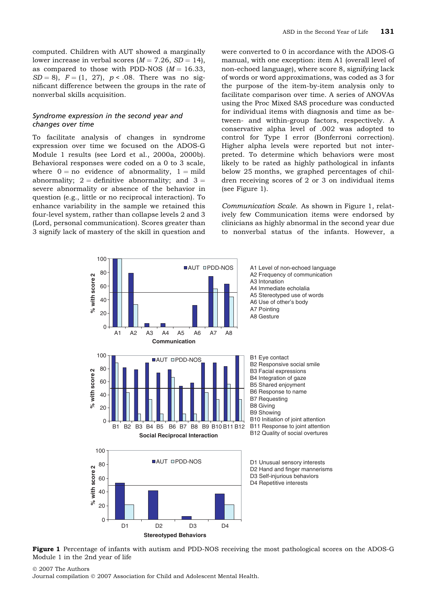computed. Children with AUT showed a marginally lower increase in verbal scores ( $M = 7.26$ ,  $SD = 14$ ), as compared to those with PDD-NOS  $(M = 16.33)$ ,  $SD = 8$ ,  $F = (1, 27)$ ,  $p < .08$ . There was no significant difference between the groups in the rate of nonverbal skills acquisition.

#### Syndrome expression in the second year and changes over time

To facilitate analysis of changes in syndrome expression over time we focused on the ADOS-G Module 1 results (see Lord et al., 2000a, 2000b). Behavioral responses were coded on a 0 to 3 scale, where  $0 = no$  evidence of abnormality,  $1 = mild$ abnormality;  $2 =$  definitive abnormality; and  $3 =$ severe abnormality or absence of the behavior in question (e.g., little or no reciprocal interaction). To enhance variability in the sample we retained this four-level system, rather than collapse levels 2 and 3 (Lord, personal communication). Scores greater than 3 signify lack of mastery of the skill in question and were converted to 0 in accordance with the ADOS-G manual, with one exception: item A1 (overall level of non-echoed language), where score 8, signifying lack of words or word approximations, was coded as 3 for the purpose of the item-by-item analysis only to facilitate comparison over time. A series of ANOVAs using the Proc Mixed SAS procedure was conducted for individual items with diagnosis and time as between- and within-group factors, respectively. A conservative alpha level of .002 was adopted to control for Type I error (Bonferroni correction). Higher alpha levels were reported but not interpreted. To determine which behaviors were most likely to be rated as highly pathological in infants below 25 months, we graphed percentages of children receiving scores of 2 or 3 on individual items (see Figure 1).

Communication Scale. As shown in Figure 1, relatively few Communication items were endorsed by clinicians as highly abnormal in the second year due to nonverbal status of the infants. However, a



Figure 1 Percentage of infants with autism and PDD-NOS receiving the most pathological scores on the ADOS-G Module 1 in the 2nd year of life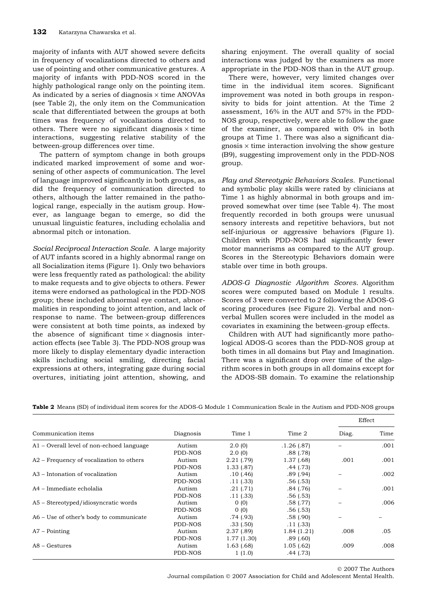majority of infants with AUT showed severe deficits in frequency of vocalizations directed to others and use of pointing and other communicative gestures. A majority of infants with PDD-NOS scored in the highly pathological range only on the pointing item. As indicated by a series of diagnosis  $\times$  time ANOVAs (see Table 2), the only item on the Communication scale that differentiated between the groups at both times was frequency of vocalizations directed to others. There were no significant diagnosis  $\times$  time interactions, suggesting relative stability of the between-group differences over time.

The pattern of symptom change in both groups indicated marked improvement of some and worsening of other aspects of communication. The level of language improved significantly in both groups, as did the frequency of communication directed to others, although the latter remained in the pathological range, especially in the autism group. However, as language began to emerge, so did the unusual linguistic features, including echolalia and abnormal pitch or intonation.

Social Reciprocal Interaction Scale. A large majority of AUT infants scored in a highly abnormal range on all Socialization items (Figure 1). Only two behaviors were less frequently rated as pathological: the ability to make requests and to give objects to others. Fewer items were endorsed as pathological in the PDD-NOS group; these included abnormal eye contact, abnormalities in responding to joint attention, and lack of response to name. The between-group differences were consistent at both time points, as indexed by the absence of significant time  $\times$  diagnosis interaction effects (see Table 3). The PDD-NOS group was more likely to display elementary dyadic interaction skills including social smiling, directing facial expressions at others, integrating gaze during social overtures, initiating joint attention, showing, and

sharing enjoyment. The overall quality of social interactions was judged by the examiners as more appropriate in the PDD-NOS than in the AUT group.

There were, however, very limited changes over time in the individual item scores. Significant improvement was noted in both groups in responsivity to bids for joint attention. At the Time 2 assessment, 16% in the AUT and 57% in the PDD-NOS group, respectively, were able to follow the gaze of the examiner, as compared with 0% in both groups at Time 1. There was also a significant diagnosis  $\times$  time interaction involving the show gesture (B9), suggesting improvement only in the PDD-NOS group.

Play and Stereotypic Behaviors Scales. Functional and symbolic play skills were rated by clinicians at Time 1 as highly abnormal in both groups and improved somewhat over time (see Table 4). The most frequently recorded in both groups were unusual sensory interests and repetitive behaviors, but not self-injurious or aggressive behaviors (Figure 1). Children with PDD-NOS had significantly fewer motor mannerisms as compared to the AUT group. Scores in the Stereotypic Behaviors domain were stable over time in both groups.

ADOS-G Diagnostic Algorithm Scores. Algorithm scores were computed based on Module 1 results. Scores of 3 were converted to 2 following the ADOS-G scoring procedures (see Figure 2). Verbal and nonverbal Mullen scores were included in the model as covariates in examining the between-group effects.

Children with AUT had significantly more pathological ADOS-G scores than the PDD-NOS group at both times in all domains but Play and Imagination. There was a significant drop over time of the algorithm scores in both groups in all domains except for the ADOS-SB domain. To examine the relationship

| Communication items                       | Diagnosis | Time 1     | Time 2        | Effect |      |
|-------------------------------------------|-----------|------------|---------------|--------|------|
|                                           |           |            |               | Diag.  | Time |
| A1 – Overall level of non-echoed language | Autism    | 2.0(0)     | .1.26(.87)    |        | .001 |
|                                           | PDD-NOS   | 2.0(0)     | .88(.78)      |        |      |
| A2 – Frequency of vocalization to others  | Autism    | 2.21 (.79) | 1.37(68)      | .001   | .001 |
|                                           | PDD-NOS   | 1.33(0.87) | .44(0.73)     |        |      |
| A3 – Intonation of vocalization           | Autism    | .10(0.46)  | .89(.94)      |        | .002 |
|                                           | PDD-NOS   | .11(0.33)  | .56(.53)      |        |      |
| A4 – Immediate echolalia                  | Autism    | .21(.71)   | .84(.76)      |        | .001 |
|                                           | PDD-NOS   | .11(0.33)  | .56(.53)      |        |      |
| A5 – Stereotyped/idiosyncratic words      | Autism    | 0(0)       | $.58$ $(.77)$ |        | .006 |
|                                           | PDD-NOS   | 0(0)       | .56(.53)      |        |      |
| A6 – Use of other's body to communicate   | Autism    | .74(.93)   | .58(.90)      |        |      |
|                                           | PDD-NOS   | .33(.50)   | .11(0.33)     |        |      |
| $A7 - Pointing$                           | Autism    | 2.37(0.89) | 1.84(1.21)    | .008   | .05  |
|                                           | PDD-NOS   | 1.77(1.30) | .89(.60)      |        |      |
| $A8 - Gestures$                           | Autism    | 1.63(68)   | 1.05(62)      | .009   | .008 |
|                                           | PDD-NOS   | 1(1.0)     | .44(0.73)     |        |      |

Table 2 Means (SD) of individual item scores for the ADOS-G Module 1 Communication Scale in the Autism and PDD-NOS groups

© 2007 The Authors Journal compilation © 2007 Association for Child and Adolescent Mental Health.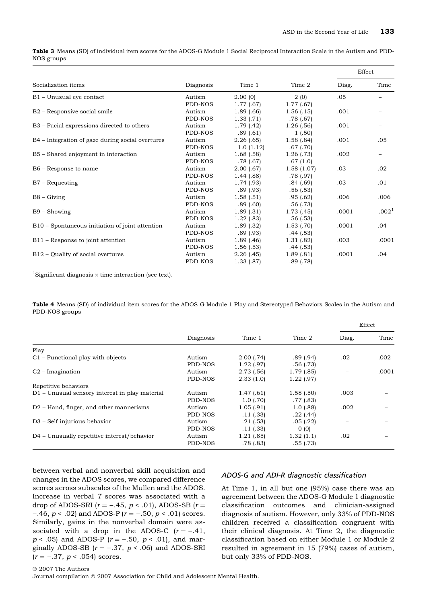Table 3 Means (SD) of individual item scores for the ADOS-G Module 1 Social Reciprocal Interaction Scale in the Autism and PDD-NOS groups

| Socialization items                              |                              | Time 1                                 | Time 2                             | Effect |                   |
|--------------------------------------------------|------------------------------|----------------------------------------|------------------------------------|--------|-------------------|
|                                                  | Diagnosis                    |                                        |                                    | Diag.  | Time              |
| B1 - Unusual eye contact                         | Autism                       | 2.00(0)                                | 2(0)                               | .05    |                   |
| B2 - Responsive social smile                     | PDD-NOS<br>Autism            | 1.77(0.67)<br>1.89(66)                 | 1.77 (.67)<br>1.56(.15)            | .001   |                   |
| B3 – Facial expressions directed to others       | PDD-NOS<br>Autism            | 1.33(71)<br>1.79(0.42)                 | .78(.67)<br>1.26(0.56)             | .001   |                   |
| B4 – Integration of gaze during social overtures | PDD-NOS<br>Autism            | .89(.61)<br>2.26(6.65)                 | 1(.50)<br>1.58(.84)                | .001   | .05               |
| B5 - Shared enjoyment in interaction             | PDD-NOS<br>Autism<br>PDD-NOS | 1.0(1.12)<br>1.68(0.58)                | $.67$ $(.70)$<br>$1.26$ (.73)      | .002   |                   |
| B6 – Response to name                            | Autism<br>PDD-NOS            | .78(.67)<br>2.00(67)                   | .67(1.0)<br>1.58(1.07)             | .03    | .02               |
| $B7 - Requesting$                                | Autism<br>PDD-NOS            | 1.44(0.88)<br>1.74(0.93)<br>.89(.93)   | $.78$ (.97)<br>.84(.69)            | .03    | .01               |
| $B8 - Giving$                                    | Autism<br>PDD-NOS            | 1.58(.51)<br>.89(.60)                  | .56(.53)<br>.95(.62)               | .006   | .006              |
| $B9 -$ Showing                                   | Autism                       | 1.89(0.31)                             | .56(.73)<br>1.73(0.45)             | .0001  | .002 <sup>1</sup> |
| B10 – Spontaneous initiation of joint attention  | PDD-NOS<br>Autism            | 1.22(0.83)<br>1.89(0.32)               | .56(.53)<br>1.53(0.70)             | .0001  | .04               |
| B11 – Response to joint attention                | PDD-NOS<br>Autism<br>PDD-NOS | .89(.93)<br>1.89(0.46)                 | .44(.53)<br>1.31(0.82)             | .003   | .0001             |
| B12 - Quality of social overtures                | Autism<br>PDD-NOS            | 1.56(0.53)<br>2.26(0.45)<br>1.33(0.87) | .44(.53)<br>1.89(0.81)<br>.89(.78) | .0001  | .04               |

<sup>1</sup>Significant diagnosis  $\times$  time interaction (see text).

Table 4 Means (SD) of individual item scores for the ADOS-G Module 1 Play and Stereotyped Behaviors Scales in the Autism and PDD-NOS groups

|                                                |                   | Diagnosis<br>Time 1       | Time 2                  | Effect |       |
|------------------------------------------------|-------------------|---------------------------|-------------------------|--------|-------|
|                                                |                   |                           |                         | Diag.  | Time  |
| Play                                           |                   |                           |                         |        |       |
| $C1$ – Functional play with objects            | Autism<br>PDD-NOS | $2.00$ (.74)<br>1.22(.97) | .89(.94)<br>.56(0.73)   | .02    | .002  |
| $C2$ – Imagination                             | Autism<br>PDD-NOS | 2.73 (.56)<br>2.33(1.0)   | 1.79 (.85)<br>1.22(.97) |        | .0001 |
| Repetitive behaviors                           |                   |                           |                         |        |       |
| D1 – Unusual sensory interest in play material | Autism<br>PDD-NOS | 1.47(61)<br>$1.0$ (.70)   | 1.58(.50)<br>.77(0.83)  | .003   |       |
| $D2$ – Hand, finger, and other mannerisms      | Autism<br>PDD-NOS | 1.05(0.91)<br>.11(0.33)   | 1.0(0.88)<br>.22(.44)   | .002   |       |
| D3 - Self-injurious behavior                   | Autism<br>PDD-NOS | .21(.53)<br>.11(0.33)     | .05(0.22)<br>0(0)       |        |       |
| D4 – Unusually repetitive interest/behavior    | Autism<br>PDD-NOS | 1.21(0.85)<br>.78(0.83)   | 1.32(1.1)<br>.55(.73)   | .02    |       |

between verbal and nonverbal skill acquisition and changes in the ADOS scores, we compared difference scores across subscales of the Mullen and the ADOS. Increase in verbal  $T$  scores was associated with a drop of ADOS-SRI  $(r = -.45, p < .01)$ , ADOS-SB  $(r =$  $-0.46$ ,  $p < 0.02$ ) and ADOS-P ( $r = -.50$ ,  $p < 0.01$ ) scores. Similarly, gains in the nonverbal domain were associated with a drop in the ADOS-C  $(r = -.41, ...)$  $p < .05$ ) and ADOS-P ( $r = -.50, p < .01$ ), and marginally ADOS-SB  $(r = -.37, p < .06)$  and ADOS-SRI  $(r = -.37, p < .054)$  scores.

#### ADOS-G and ADI-R diagnostic classification

At Time 1, in all but one (95%) case there was an agreement between the ADOS-G Module 1 diagnostic classification outcomes and clinician-assigned diagnosis of autism. However, only 33% of PDD-NOS children received a classification congruent with their clinical diagnosis. At Time 2, the diagnostic classification based on either Module 1 or Module 2 resulted in agreement in 15 (79%) cases of autism, but only 33% of PDD-NOS.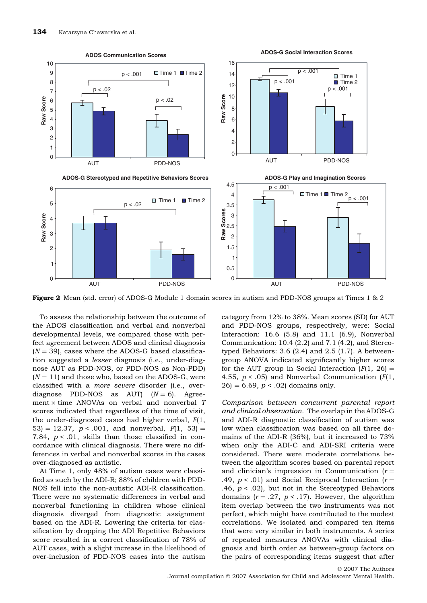**ADOS Communication Scores** 



Figure 2 Mean (std. error) of ADOS-G Module 1 domain scores in autism and PDD-NOS groups at Times 1 & 2

To assess the relationship between the outcome of the ADOS classification and verbal and nonverbal developmental levels, we compared those with perfect agreement between ADOS and clinical diagnosis  $(N = 39)$ , cases where the ADOS-G based classification suggested a lesser diagnosis (i.e., under-diagnose AUT as PDD-NOS, or PDD-NOS as Non-PDD)  $(N = 11)$  and those who, based on the ADOS-G, were classified with a more severe disorder (i.e., overdiagnose PDD-NOS as AUT)  $(N = 6)$ . Agreement  $\times$  time ANOVAs on verbal and nonverbal  $T$ scores indicated that regardless of the time of visit, the under-diagnosed cases had higher verbal,  $F(1)$ ,  $53$ ) = 12.37, p < .001, and nonverbal,  $F(1, 53)$  = 7.84,  $p < .01$ , skills than those classified in concordance with clinical diagnosis. There were no differences in verbal and nonverbal scores in the cases over-diagnosed as autistic.

At Time 1, only 48% of autism cases were classified as such by the ADI-R; 88% of children with PDD-NOS fell into the non-autistic ADI-R classification. There were no systematic differences in verbal and nonverbal functioning in children whose clinical diagnosis diverged from diagnostic assignment based on the ADI-R. Lowering the criteria for classification by dropping the ADI Repetitive Behaviors score resulted in a correct classification of 78% of AUT cases, with a slight increase in the likelihood of over-inclusion of PDD-NOS cases into the autism

category from 12% to 38%. Mean scores (SD) for AUT and PDD-NOS groups, respectively, were: Social Interaction: 16.6 (5.8) and 11.1 (6.9), Nonverbal Communication: 10.4 (2.2) and 7.1 (4.2), and Stereotyped Behaviors: 3.6 (2.4) and 2.5 (1.7). A betweengroup ANOVA indicated significantly higher scores for the AUT group in Social Interaction  $(F(1, 26))$ 4.55,  $p < .05$ ) and Nonverbal Communication ( $F(1)$ ,  $(26) = 6.69$ ,  $p < .02$ ) domains only.

**ADOS-G Social Interaction Scores** 

Comparison between concurrent parental report and clinical observation. The overlap in the ADOS-G and ADI-R diagnostic classification of autism was low when classification was based on all three domains of the ADI-R (36%), but it increased to 73% when only the ADI-C and ADI-SRI criteria were considered. There were moderate correlations between the algorithm scores based on parental report and clinician's impression in Communication  $(r =$ .49,  $p < .01$ ) and Social Reciprocal Interaction ( $r =$ .46,  $p < .02$ ), but not in the Stereotyped Behaviors domains ( $r = .27$ ,  $p < .17$ ). However, the algorithm item overlap between the two instruments was not perfect, which might have contributed to the modest correlations. We isolated and compared ten items that were very similar in both instruments. A series of repeated measures ANOVAs with clinical diagnosis and birth order as between-group factors on the pairs of corresponding items suggest that after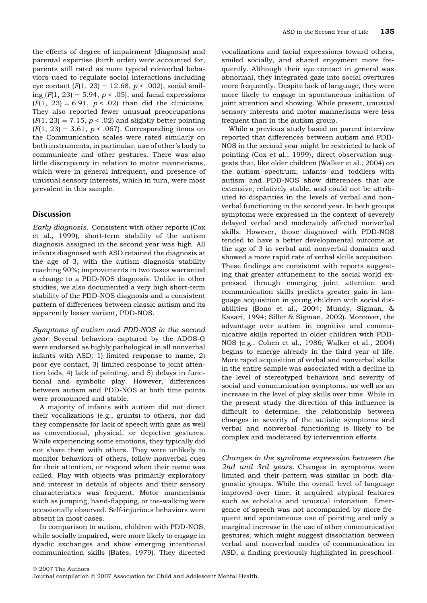the effects of degree of impairment (diagnosis) and parental expertise (birth order) were accounted for, parents still rated as more typical nonverbal behaviors used to regulate social interactions including eye contact  $(F(1, 23) = 12.68, p < .002)$ , social smiling  $(F(1, 23) = 5.94, p < .05)$ , and facial expressions  $(F(1, 23) = 6.91, p < .02)$  than did the clinicians. They also reported fewer unusual preoccupations  $(F(1, 23) = 7.15, p < .02)$  and slightly better pointing  $(F(1, 23) = 3.61, p < .067)$ . Corresponding items on the Communication scales were rated similarly on both instruments, in particular, use of other's body to communicate and other gestures. There was also little discrepancy in relation to motor mannerisms, which were in general infrequent, and presence of unusual sensory interests, which in turn, were most prevalent in this sample.

#### **Discussion**

Early diagnosis. Consistent with other reports (Cox et al., 1999), short-term stability of the autism diagnosis assigned in the second year was high. All infants diagnosed with ASD retained the diagnosis at the age of 3, with the autism diagnosis stability reaching 90%; improvements in two cases warranted a change to a PDD-NOS diagnosis. Unlike in other studies, we also documented a very high short-term stability of the PDD-NOS diagnosis and a consistent pattern of differences between classic autism and its apparently lesser variant, PDD-NOS.

Symptoms of autism and PDD-NOS in the second year. Several behaviors captured by the ADOS-G were endorsed as highly pathological in all nonverbal infants with ASD: 1) limited response to name, 2) poor eye contact, 3) limited response to joint attention bids, 4) lack of pointing, and 5) delays in functional and symbolic play. However, differences between autism and PDD-NOS at both time points were pronounced and stable.

A majority of infants with autism did not direct their vocalizations (e.g., grunts) to others, nor did they compensate for lack of speech with gaze as well as conventional, physical, or depictive gestures. While experiencing some emotions, they typically did not share them with others. They were unlikely to monitor behaviors of others, follow nonverbal cues for their attention, or respond when their name was called. Play with objects was primarily exploratory and interest in details of objects and their sensory characteristics was frequent. Motor mannerisms such as jumping, hand-flapping, or toe-walking were occasionally observed. Self-injurious behaviors were absent in most cases.

In comparison to autism, children with PDD-NOS, while socially impaired, were more likely to engage in dyadic exchanges and show emerging intentional communication skills (Bates, 1979). They directed vocalizations and facial expressions toward others, smiled socially, and shared enjoyment more frequently. Although their eye contact in general was abnormal, they integrated gaze into social overtures more frequently. Despite lack of language, they were more likely to engage in spontaneous initiation of joint attention and showing. While present, unusual sensory interests and motor mannerisms were less frequent than in the autism group.

While a previous study based on parent interview reported that differences between autism and PDD-NOS in the second year might be restricted to lack of pointing (Cox et al., 1999), direct observation suggests that, like older children (Walker et al., 2004) on the autism spectrum, infants and toddlers with autism and PDD-NOS show differences that are extensive, relatively stable, and could not be attributed to disparities in the levels of verbal and nonverbal functioning in the second year. In both groups symptoms were expressed in the context of severely delayed verbal and moderately affected nonverbal skills. However, those diagnosed with PDD-NOS tended to have a better developmental outcome at the age of 3 in verbal and nonverbal domains and showed a more rapid rate of verbal skills acquisition. These findings are consistent with reports suggesting that greater attunement to the social world expressed through emerging joint attention and communication skills predicts greater gain in language acquisition in young children with social disabilities (Bono et al., 2004; Mundy, Sigman, & Kasari, 1994; Siller & Sigman, 2002). Moreover, the advantage over autism in cognitive and communicative skills reported in older children with PDD-NOS (e.g., Cohen et al., 1986; Walker et al., 2004) begins to emerge already in the third year of life. More rapid acquisition of verbal and nonverbal skills in the entire sample was associated with a decline in the level of stereotyped behaviors and severity of social and communication symptoms, as well as an increase in the level of play skills over time. While in the present study the direction of this influence is difficult to determine, the relationship between changes in severity of the autistic symptoms and verbal and nonverbal functioning is likely to be complex and moderated by intervention efforts.

Changes in the syndrome expression between the 2nd and 3rd years. Changes in symptoms were limited and their pattern was similar in both diagnostic groups. While the overall level of language improved over time, it acquired atypical features such as echolalia and unusual intonation. Emergence of speech was not accompanied by more frequent and spontaneous use of pointing and only a marginal increase in the use of other communicative gestures, which might suggest dissociation between verbal and nonverbal modes of communication in ASD, a finding previously highlighted in preschool-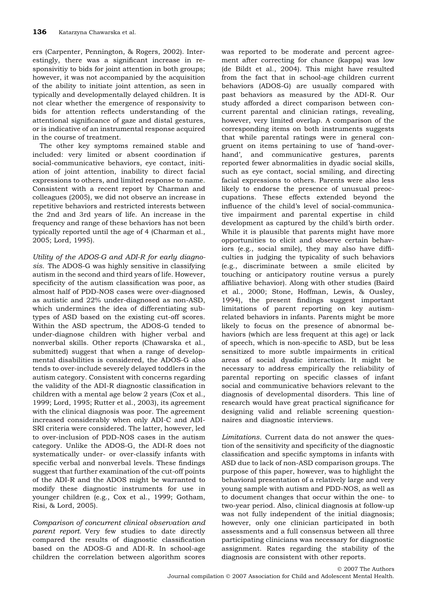ers (Carpenter, Pennington, & Rogers, 2002). Interestingly, there was a significant increase in responsivitiy to bids for joint attention in both groups; however, it was not accompanied by the acquisition of the ability to initiate joint attention, as seen in typically and developmentally delayed children. It is not clear whether the emergence of responsivity to bids for attention reflects understanding of the attentional significance of gaze and distal gestures, or is indicative of an instrumental response acquired in the course of treatment.

The other key symptoms remained stable and included: very limited or absent coordination if social-communicative behaviors, eye contact, initiation of joint attention, inability to direct facial expressions to others, and limited response to name. Consistent with a recent report by Charman and colleagues (2005), we did not observe an increase in repetitive behaviors and restricted interests between the 2nd and 3rd years of life. An increase in the frequency and range of these behaviors has not been typically reported until the age of 4 (Charman et al., 2005; Lord, 1995).

Utility of the ADOS-G and ADI-R for early diagnosis. The ADOS-G was highly sensitive in classifying autism in the second and third years of life. However, specificity of the autism classification was poor, as almost half of PDD-NOS cases were over-diagnosed as autistic and 22% under-diagnosed as non-ASD, which undermines the idea of differentiating subtypes of ASD based on the existing cut-off scores. Within the ASD spectrum, the ADOS-G tended to under-diagnose children with higher verbal and nonverbal skills. Other reports (Chawarska et al., submitted) suggest that when a range of developmental disabilities is considered, the ADOS-G also tends to over-include severely delayed toddlers in the autism category. Consistent with concerns regarding the validity of the ADI-R diagnostic classification in children with a mental age below 2 years (Cox et al., 1999; Lord, 1995; Rutter et al., 2003), its agreement with the clinical diagnosis was poor. The agreement increased considerably when only ADI-C and ADI-SRI criteria were considered. The latter, however, led to over-inclusion of PDD-NOS cases in the autism category. Unlike the ADOS-G, the ADI-R does not systematically under- or over-classify infants with specific verbal and nonverbal levels. These findings suggest that further examination of the cut-off points of the ADI-R and the ADOS might be warranted to modify these diagnostic instruments for use in younger children (e.g., Cox et al., 1999; Gotham, Risi, & Lord, 2005).

Comparison of concurrent clinical observation and parent report. Very few studies to date directly compared the results of diagnostic classification based on the ADOS-G and ADI-R. In school-age children the correlation between algorithm scores

was reported to be moderate and percent agreement after correcting for chance (kappa) was low (de Bildt et al., 2004). This might have resulted from the fact that in school-age children current behaviors (ADOS-G) are usually compared with past behaviors as measured by the ADI-R. Our study afforded a direct comparison between concurrent parental and clinician ratings, revealing, however, very limited overlap. A comparison of the corresponding items on both instruments suggests that while parental ratings were in general congruent on items pertaining to use of 'hand-overhand', and communicative gestures, parents reported fewer abnormalities in dyadic social skills, such as eye contact, social smiling, and directing facial expressions to others. Parents were also less likely to endorse the presence of unusual preoccupations. These effects extended beyond the influence of the child's level of social-communicative impairment and parental expertise in child development as captured by the child's birth order. While it is plausible that parents might have more opportunities to elicit and observe certain behaviors (e.g., social smile), they may also have difficulties in judging the typicality of such behaviors (e.g., discriminate between a smile elicited by touching or anticipatory routine versus a purely affiliative behavior). Along with other studies (Baird et al., 2000; Stone, Hoffman, Lewis, & Ousley, 1994), the present findings suggest important limitations of parent reporting on key autismrelated behaviors in infants. Parents might be more likely to focus on the presence of abnormal behaviors (which are less frequent at this age) or lack of speech, which is non-specific to ASD, but be less sensitized to more subtle impairments in critical areas of social dyadic interaction. It might be necessary to address empirically the reliability of parental reporting on specific classes of infant social and communicative behaviors relevant to the diagnosis of developmental disorders. This line of research would have great practical significance for designing valid and reliable screening questionnaires and diagnostic interviews.

Limitations. Current data do not answer the question of the sensitivity and specificity of the diagnostic classification and specific symptoms in infants with ASD due to lack of non-ASD comparison groups. The purpose of this paper, however, was to highlight the behavioral presentation of a relatively large and very young sample with autism and PDD-NOS, as well as to document changes that occur within the one- to two-year period. Also, clinical diagnosis at follow-up was not fully independent of the initial diagnosis; however, only one clinician participated in both assessments and a full consensus between all three participating clinicians was necessary for diagnostic assignment. Rates regarding the stability of the diagnosis are consistent with other reports.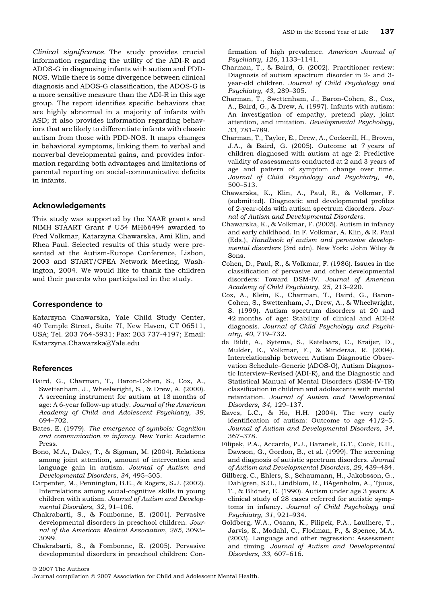Clinical significance. The study provides crucial information regarding the utility of the ADI-R and ADOS-G in diagnosing infants with autism and PDD-NOS. While there is some divergence between clinical diagnosis and ADOS-G classification, the ADOS-G is a more sensitive measure than the ADI-R in this age group. The report identifies specific behaviors that are highly abnormal in a majority of infants with ASD; it also provides information regarding behaviors that are likely to differentiate infants with classic autism from those with PDD-NOS. It maps changes in behavioral symptoms, linking them to verbal and nonverbal developmental gains, and provides information regarding both advantages and limitations of parental reporting on social-communicative deficits in infants.

## Acknowledgements

This study was supported by the NAAR grants and NIMH STAART Grant # U54 MH66494 awarded to Fred Volkmar, Katarzyna Chawarska, Ami Klin, and Rhea Paul. Selected results of this study were presented at the Autism-Europe Conference, Lisbon, 2003 and START/CPEA Network Meeting, Washington, 2004. We would like to thank the children and their parents who participated in the study.

### Correspondence to

Katarzyna Chawarska, Yale Child Study Center, 40 Temple Street, Suite 7I, New Haven, CT 06511, USA; Tel. 203 764-5931; Fax: 203 737-4197; Email: Katarzyna.Chawarska@Yale.edu

# References

- Baird, G., Charman, T., Baron-Cohen, S., Cox, A., Swettenham, J., Wheelwright, S., & Drew, A. (2000). A screening instrument for autism at 18 months of age: A 6-year follow-up study. Journal of the American Academy of Child and Adolescent Psychiatry, 39, 694–702.
- Bates, E. (1979). The emergence of symbols: Cognition and communication in infancy. New York: Academic Press.
- Bono, M.A., Daley, T., & Sigman, M. (2004). Relations among joint attention, amount of intervention and language gain in autism. Journal of Autism and Developmental Disorders, 34, 495–505.
- Carpenter, M., Pennington, B.E., & Rogers, S.J. (2002). Interrelations among social-cognitive skills in young children with autism. Journal of Autism and Developmental Disorders, 32, 91–106.
- Chakrabarti, S., & Fombonne, E. (2001). Pervasive developmental disorders in preschool children. Journal of the American Medical Association, 285, 3093– 3099.
- Chakrabarti, S., & Fombonne, E. (2005). Pervasive developmental disorders in preschool children: Con-

firmation of high prevalence. American Journal of Psychiatry, 126, 1133–1141.

- Charman, T., & Baird, G. (2002). Practitioner review: Diagnosis of autism spectrum disorder in 2- and 3 year-old children. Journal of Child Psychology and Psychiatry, 43, 289–305.
- Charman, T., Swettenham, J., Baron-Cohen, S., Cox, A., Baird, G., & Drew, A. (1997). Infants with autism: An investigation of empathy, pretend play, joint attention, and imitation. Developmental Psychology, 33, 781–789.
- Charman, T., Taylor, E., Drew, A., Cockerill, H., Brown, J.A., & Baird, G. (2005). Outcome at 7 years of children diagnosed with autism at age 2: Predictive validity of assessments conducted at 2 and 3 years of age and pattern of symptom change over time. Journal of Child Psychology and Psychiatry, 46, 500–513.
- Chawarska, K., Klin, A., Paul, R., & Volkmar, F. (submitted). Diagnostic and developmental profiles of 2-year-olds with autism spectrum disorders. Journal of Autism and Developmental Disorders.
- Chawarska, K., & Volkmar, F. (2005). Autism in infancy and early childhood. In F. Volkmar, A. Klin, & R. Paul (Eds.), Handbook of autism and pervasive developmental disorders (3rd edn). New York: John Wiley & Sons.
- Cohen, D., Paul, R., & Volkmar, F. (1986). Issues in the classification of pervasive and other developmental disorders: Toward DSM-IV. Journal of American Academy of Child Psychiatry, 25, 213–220.
- Cox, A., Klein, K., Charman, T., Baird, G., Baron-Cohen, S., Swettenham, J., Drew, A., & Wheelwright, S. (1999). Autism spectrum disorders at 20 and 42 months of age: Stability of clinical and ADI-R diagnosis. Journal of Child Psychology and Psychiatry, 40, 719–732.
- de Bildt, A., Sytema, S., Ketelaars, C., Kraijer, D., Mulder, E., Volkmar, F., & Minderaa, R. (2004). Interrelationship between Autism Diagnostic Observation Schedule–Generic (ADOS-G), Autism Diagnostic Interview–Revised (ADI-R), and the Diagnostic and Statistical Manual of Mental Disorders (DSM-IV-TR) classification in children and adolescents with mental retardation. Journal of Autism and Developmental Disorders, 34, 129–137.
- Eaves, L.C., & Ho, H.H. (2004). The very early identification of autism: Outcome to age 41/2–5. Journal of Autism and Developmental Disorders, 34, 367–378.
- Filipek, P.A., Accardo, P.J., Baranek, G.T., Cook, E.H., Dawson, G., Gordon, B., et al. (1999). The screening and diagnosis of autistic spectrum disorders. Journal of Autism and Developmental Disorders, 29, 439–484.
- Gillberg, C., Ehlers, S., Schaumann, H., Jakobsson, G., Dahlgren, S.O., Lindblom, R., BÂgenholm, A., Tjuus, T., & Blidner, E. (1990). Autism under age 3 years: A clinical study of 28 cases referred for autistic symptoms in infancy. Journal of Child Psychology and Psychiatry, 31, 921–934.
- Goldberg, W.A., Osann, K., Filipek, P.A., Laulhere, T., Jarvis, K., Modahl, C., Flodman, P., & Spence, M.A. (2003). Language and other regression: Assessment and timing. Journal of Autism and Developmental Disorders, 33, 607–616.